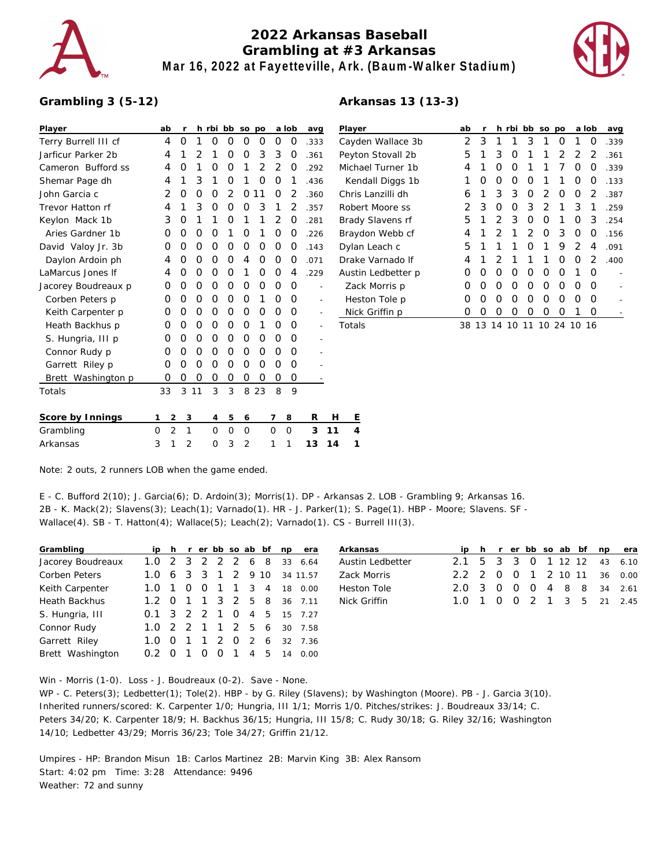

## **2022 Arkansas Baseball Grambling at #3 Arkansas Mar 16, 2022 at Fayetteville, Ark. (Baum-Walker Stadium)**



## **Grambling 3 (5-12)**

## **Arkansas 13 (13-3)**

| Player               |   | ab             | r             | h             | rbi      | bb       | SO            | po             |                | a lob         | avg            |    | Playe       |
|----------------------|---|----------------|---------------|---------------|----------|----------|---------------|----------------|----------------|---------------|----------------|----|-------------|
| Terry Burrell III cf |   | 4              | O             | 1             | O        | O        | O             | 0              | 0              | 0             | .333           |    | Cayd        |
| Jarficur Parker 2b   |   | 4              | 1             | $\mathcal{P}$ | 1        | O        | 0             | 3              | 3              | Ο             | .361           |    | Peyto       |
| Cameron Bufford ss   |   | 4              | O             | 1             | O        | $\Omega$ | 1             | $\overline{2}$ | $\overline{2}$ | 0             | .292           |    | Mich        |
| Shemar Page dh       |   | 4              | 1             | 3             | 1        | O        | 1             | O              | O              | 1             | .436           |    | Ker         |
| John Garcia c        |   | 2              | $\Omega$      | $\Omega$      | O        | 2        | O             | 11             | $\Omega$       | $\mathcal{P}$ | .360           |    | Chris       |
| Trevor Hatton rf     |   | 4              | 1             | 3             | O        | O        | O             | 3              | 1              | 2             | .357           |    | Robe        |
| Keylon Mack 1b       |   | 3              | O             | 1             | 1        | O        | 1             | 1              | 2              | O             | .281           |    | Brad        |
| Aries Gardner 1b     |   | O              | Ο             | O             | O        | 1        | O             | 1              | O              | O             | .226           |    | Bray        |
| David Valoy Jr. 3b   |   | 0              | 0             | O             | O        | 0        | O             | 0              | 0              | O             | .143           |    | Dylar       |
| Daylon Ardoin ph     |   | 4              | 0             | O             | O        | O        | 4             | 0              | 0              | O             | .071           |    | Drak        |
| LaMarcus Jones If    |   | 4              | 0             | O             | O        | 0        | 1             | 0              | 0              | 4             | .229           |    | Austi       |
| Jacorey Boudreaux p  |   | Ο              | O             | O             | O        | O        | O             | O              | O              | O             |                |    | Zac         |
| Corben Peters p      |   | Ο              | O             | O             | O        | O        | $\Omega$      | 1              | O              | O             | $\overline{a}$ |    | Hes         |
| Keith Carpenter p    |   | 0              | O             | O             | Ο        | O        | O             | 0              | O              | Ο             |                |    | <b>Nicl</b> |
| Heath Backhus p      |   | Ο              | O             | O             | O        | O        | O             | 1              | O              | Ο             |                |    | Total       |
| S. Hungria, III p    |   | 0              | Ο             | O             | O        | O        | Ο             | 0              | O              | Ο             |                |    |             |
| Connor Rudy p        |   | Ο              | O             | O             | O        | O        | O             | O              | O              | Ο             |                |    |             |
| Garrett Riley p      |   | O              | O             | O             | O        | O        | O             | 0              | O              | Ο             |                |    |             |
| Brett Washington p   |   | 0              | 0             | O             | O        | O        | 0             | 0              | O              | 0             |                |    |             |
| Totals               |   | 33             | 3             | 11            | 3        | 3        | 8             | 23             | 8              | 9             |                |    |             |
| Score by Innings     | 1 | 2              | 3             |               | 4        | 5        | 6             |                | 7              | 8             | R              | н  | Ε           |
| Grambling            | O | $\overline{2}$ | $\mathbf{1}$  |               | $\Omega$ | $\Omega$ | $\Omega$      |                | $\Omega$       | $\Omega$      | 3              | 11 | 4           |
| Arkansas             | 3 | 1              | $\mathcal{P}$ |               | $\Omega$ | 3        | $\mathcal{P}$ |                | 1              | 1             | 13             | 14 | 1           |

| Player             | ab | r  | h. | rbi | bb       | <b>SO</b>      | po             |                | a lob          | avg  |
|--------------------|----|----|----|-----|----------|----------------|----------------|----------------|----------------|------|
| Cayden Wallace 3b  | 2  | 3  | 1  | 1   | 3        | 1              | Ο              | 1              | O              | .339 |
| Peyton Stovall 2b  | 5  | 1  | 3  | O   | 1        | 1              | $\overline{2}$ | $\overline{2}$ | 2              | .361 |
| Michael Turner 1b  | 4  | 1  | Ο  | O   | 1        | 1              | 7              | Ο              | O              | .339 |
| Kendall Diggs 1b   | 1  | Ω  | Ο  | O   | O        | 1              | 1              | Ο              | O              | .133 |
| Chris Lanzilli dh  | 6  | 1  | 3  | 3   | O        | $\overline{2}$ | 0              | O              | 2              | .387 |
| Robert Moore ss    | 2  | 3  | Ο  | O   | 3        | 2              | 1              | 3              | 1              | .259 |
| Brady Slavens rf   | 5  | 1  | 2  | 3   | O        | O              | 1              | 0              | 3              | .254 |
| Braydon Webb cf    | 4  | 1  | 2  | 1   | 2        | O              | 3              | Ο              | O              | .156 |
| Dylan Leach c      | 5  | 1  | 1  | 1   | $\Omega$ | 1              | 9              | $\mathcal{P}$  | 4              | .091 |
| Drake Varnado If   | 4  | 1  | 2  | 1   | 1        | 1              | Ο              | O              | $\overline{2}$ | .400 |
| Austin Ledbetter p | Ο  | Ο  | Ο  | O   | 0        | 0              | O              | 1              | O              |      |
| Zack Morris p      | Ω  | Ω  | Ο  | O   | O        | O              | Ο              | Ο              | O              |      |
| Heston Tole p      | Ω  | Ω  | Ο  | O   | O        | O              | O              | O              | O              |      |
| Nick Griffin p     | Ω  | Ω  | Ω  | Ο   | Ο        | Ο              | Ω              | 1              | 0              |      |
| Totals             | 38 | 13 | 14 | 10  | 11       |                | 10 24          | 10             | 16             |      |

Note: 2 outs, 2 runners LOB when the game ended.

E - C. Bufford 2(10); J. Garcia(6); D. Ardoin(3); Morris(1). DP - Arkansas 2. LOB - Grambling 9; Arkansas 16. 2B - K. Mack(2); Slavens(3); Leach(1); Varnado(1). HR - J. Parker(1); S. Page(1). HBP - Moore; Slavens. SF - Wallace(4). SB - T. Hatton(4); Wallace(5); Leach(2); Varnado(1). CS - Burrell III(3).

| Grambling            |              |                  |    |                  |                |                |                | ip h r er bb so ab bf | np | era      |
|----------------------|--------------|------------------|----|------------------|----------------|----------------|----------------|-----------------------|----|----------|
| Jacorey Boudreaux    | 1.0          |                  |    |                  | 2 3 2 2 2 6    |                |                | - 8                   | 33 | 6.64     |
| Corben Peters        | 1.0          |                  |    |                  | 6 3 3 1        |                | 2 9 10         |                       |    | 34 11.57 |
| Keith Carpenter      | 1.0          |                  | Ω  | 0                | $\overline{1}$ | $\overline{1}$ | 3              | $\overline{4}$        | 18 | 0.00     |
| <b>Heath Backhus</b> | $1.2 \Omega$ |                  | 1  |                  | 1 3 2 5 8      |                |                |                       |    | 36 7.11  |
| S. Hungria, III      | 0.1          |                  |    |                  | 3 2 2 1        | $\Omega$       | $\overline{4}$ | - 5                   |    | 15 7.27  |
| Connor Rudy          | 1.0          |                  |    |                  | 2 2 1 1        | $\overline{2}$ | 5              | - 6                   | 30 | 7.58     |
| Garrett Riley        | 1.0          |                  | -1 | $\mathbf{1}$     | 2              | O              | $\mathcal{P}$  | - 6                   |    | 32 7.36  |
| Brett Washington     |              | $\left( \right)$ |    | $\left( \right)$ | O              | $\overline{1}$ | 4              | 5                     | 14 | 0.00     |

| Arkansas           |  |  |  |  | ip h r er bb so ab bf np era |
|--------------------|--|--|--|--|------------------------------|
| Austin Ledbetter   |  |  |  |  | 2.1 5 3 3 0 1 12 12 43 6.10  |
| Zack Morris        |  |  |  |  | 2.2 2 0 0 1 2 10 11 36 0.00  |
| <b>Heston Tole</b> |  |  |  |  | 2.0 3 0 0 0 4 8 8 34 2.61    |
| Nick Griffin       |  |  |  |  | 1.0 1 0 0 2 1 3 5 21 2.45    |

Win - Morris (1-0). Loss - J. Boudreaux (0-2). Save - None.

WP - C. Peters(3); Ledbetter(1); Tole(2). HBP - by G. Riley (Slavens); by Washington (Moore). PB - J. Garcia 3(10). Inherited runners/scored: K. Carpenter 1/0; Hungria, III 1/1; Morris 1/0. Pitches/strikes: J. Boudreaux 33/14; C. Peters 34/20; K. Carpenter 18/9; H. Backhus 36/15; Hungria, III 15/8; C. Rudy 30/18; G. Riley 32/16; Washington 14/10; Ledbetter 43/29; Morris 36/23; Tole 34/27; Griffin 21/12.

Umpires - HP: Brandon Misun 1B: Carlos Martinez 2B: Marvin King 3B: Alex Ransom Start: 4:02 pm Time: 3:28 Attendance: 9496 Weather: 72 and sunny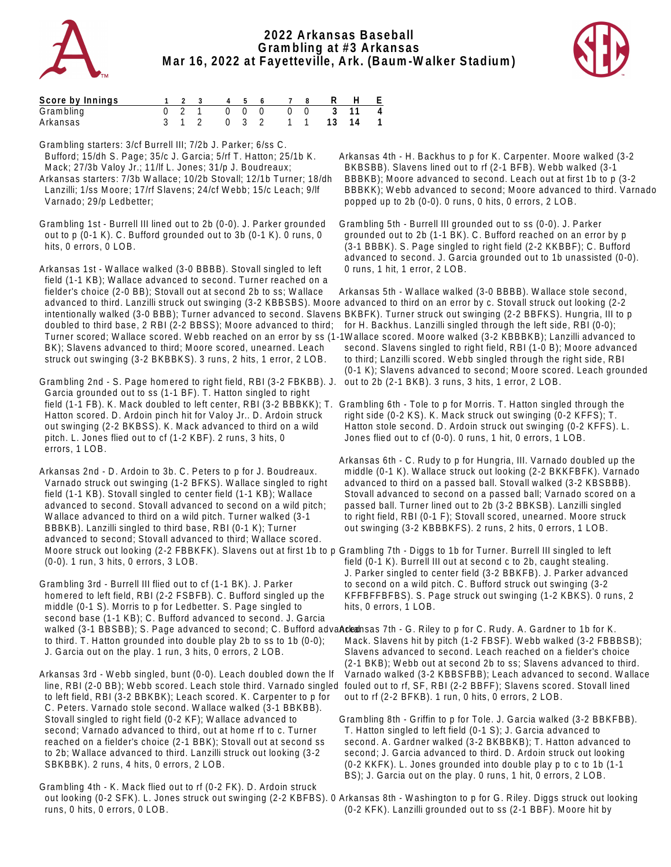



| Score by Innings |  |  |  |  | 1 2 3 4 5 6 7 8 R H E   |  |
|------------------|--|--|--|--|-------------------------|--|
| Grambling        |  |  |  |  | 0 2 1 0 0 0 0 0 3 11 4  |  |
| Arkansas         |  |  |  |  | 3 1 2 0 3 2 1 1 13 14 1 |  |

Grambling starters: 3/cf Burrell III; 7/2b J. Parker; 6/ss C. Bufford; 15/dh S. Page; 35/c J. Garcia; 5/rf T. Hatton; 25/1b K. Mack; 27/3b Valoy Jr.; 11/lf L. Jones; 31/p J. Boudreaux; Arkansas starters: 7/3b Wallace; 10/2b Stovall; 12/1b Turner; 18/dh Lanzilli; 1/ss Moore; 17/rf Slavens; 24/cf Webb; 15/c Leach; 9/lf

Varnado; 29/p Ledbetter;

Grambling 1st - Burrell III lined out to 2b (0-0). J. Parker grounded out to p (0-1 K). C. Bufford grounded out to 3b (0-1 K). 0 runs, 0 hits, 0 errors, 0 LOB.

Arkansas 1st - Wallace walked (3-0 BBBB). Stovall singled to left field (1-1 KB); Wallace advanced to second. Turner reached on a fielder's choice (2-0 BB); Stovall out at second 2b to ss; Wallace advanced to third. Lanzilli struck out swinging (3-2 KBBSBS). Moore advanced to third on an error by c. Stovall struck out looking (2-2 doubled to third base, 2 RBI (2-2 BBSS); Moore advanced to third; BK); Slavens advanced to third; Moore scored, unearned. Leach struck out swinging (3-2 BKBBKS). 3 runs, 2 hits, 1 error, 2 LOB.

Grambling 2nd - S. Page homered to right field, RBI (3-2 FBKBB). J. Garcia grounded out to ss (1-1 BF). T. Hatton singled to right field (1-1 FB). K. Mack doubled to left center, RBI (3-2 BBBKK); T. Grambling 6th - Tole to p for Morris. T. Hatton singled through the Hatton scored. D. Ardoin pinch hit for Valoy Jr.. D. Ardoin struck out swinging (2-2 BKBSS). K. Mack advanced to third on a wild pitch. L. Jones flied out to cf (1-2 KBF). 2 runs, 3 hits, 0 errors, 1 LOB.

Arkansas 2nd - D. Ardoin to 3b. C. Peters to p for J. Boudreaux. Varnado struck out swinging (1-2 BFKS). Wallace singled to right field (1-1 KB). Stovall singled to center field (1-1 KB); Wallace advanced to second. Stovall advanced to second on a wild pitch; Wallace advanced to third on a wild pitch. Turner walked (3-1 BBBKB). Lanzilli singled to third base, RBI (0-1 K); Turner advanced to second; Stovall advanced to third; Wallace scored. Moore struck out looking (2-2 FBBKFK). Slavens out at first 1b to p Grambling 7th - Diggs to 1b for Turner. Burrell III singled to left (0-0). 1 run, 3 hits, 0 errors, 3 LOB.

Grambling 3rd - Burrell III flied out to cf (1-1 BK). J. Parker homered to left field, RBI (2-2 FSBFB). C. Bufford singled up the middle (0-1 S). Morris to p for Ledbetter. S. Page singled to second base (1-1 KB); C. Bufford advanced to second. J. Garcia walked (3-1 BBSBB); S. Page advanced to second; C. Bufford adva**Adeah**sas 7th - G. Riley to p for C. Rudy. A. Gardner to 1b for K. to third. T. Hatton grounded into double play 2b to ss to 1b (0-0); J. Garcia out on the play. 1 run, 3 hits, 0 errors, 2 LOB.

Arkansas 3rd - Webb singled, bunt (0-0). Leach doubled down the lf line, RBI (2-0 BB); Webb scored. Leach stole third. Varnado singled fouled out to rf, SF, RBI (2-2 BBFF); Slavens scored. Stovall lined to left field, RBI (3-2 BBKBK); Leach scored. K. Carpenter to p for C. Peters. Varnado stole second. Wallace walked (3-1 BBKBB). Stovall singled to right field (0-2 KF); Wallace advanced to second; Varnado advanced to third, out at home rf to c. Turner reached on a fielder's choice (2-1 BBK); Stovall out at second ss to 2b; Wallace advanced to third. Lanzilli struck out looking (3-2 SBKBBK). 2 runs, 4 hits, 0 errors, 2 LOB.

Grambling 4th - K. Mack flied out to rf (0-2 FK). D. Ardoin struck runs, 0 hits, 0 errors, 0 LOB.

Arkansas 4th - H. Backhus to p for K. Carpenter. Moore walked (3-2 BKBSBB). Slavens lined out to rf (2-1 BFB). Webb walked (3-1 BBBKB); Moore advanced to second. Leach out at first 1b to p (3-2 BBBKK); Webb advanced to second; Moore advanced to third. Varnado popped up to 2b (0-0). 0 runs, 0 hits, 0 errors, 2 LOB.

Grambling 5th - Burrell III grounded out to ss (0-0). J. Parker grounded out to 2b (1-1 BK). C. Bufford reached on an error by p (3-1 BBBK). S. Page singled to right field (2-2 KKBBF); C. Bufford advanced to second. J. Garcia grounded out to 1b unassisted (0-0). 0 runs, 1 hit, 1 error, 2 LOB.

intentionally walked (3-0 BBB); Turner advanced to second. Slavens BKBFK). Turner struck out swinging (2-2 BBFKS). Hungria, III to p Turner scored; Wallace scored. Webb reached on an error by ss (1-1 Wallace scored. Moore walked (3-2 KBBBKB); Lanzilli advanced to Arkansas 5th - Wallace walked (3-0 BBBB). Wallace stole second, for H. Backhus. Lanzilli singled through the left side, RBI (0-0); second. Slavens singled to right field, RBI (1-0 B); Moore advanced to third; Lanzilli scored. Webb singled through the right side, RBI (0-1 K); Slavens advanced to second; Moore scored. Leach grounded out to 2b (2-1 BKB). 3 runs, 3 hits, 1 error, 2 LOB.

> right side (0-2 KS). K. Mack struck out swinging (0-2 KFFS); T. Hatton stole second. D. Ardoin struck out swinging (0-2 KFFS). L. Jones flied out to cf (0-0). 0 runs, 1 hit, 0 errors, 1 LOB.

Arkansas 6th - C. Rudy to p for Hungria, III. Varnado doubled up the middle (0-1 K). Wallace struck out looking (2-2 BKKFBFK). Varnado advanced to third on a passed ball. Stovall walked (3-2 KBSBBB). Stovall advanced to second on a passed ball; Varnado scored on a passed ball. Turner lined out to 2b (3-2 BBKSB). Lanzilli singled to right field, RBI (0-1 F); Stovall scored, unearned. Moore struck out swinging (3-2 KBBBKFS). 2 runs, 2 hits, 0 errors, 1 LOB.

 field (0-1 K). Burrell III out at second c to 2b, caught stealing. J. Parker singled to center field (3-2 BBKFB). J. Parker advanced to second on a wild pitch. C. Bufford struck out swinging (3-2 KFFBFFBFBS). S. Page struck out swinging (1-2 KBKS). 0 runs, 2 hits, 0 errors, 1 LOB.

Mack. Slavens hit by pitch (1-2 FBSF). Webb walked (3-2 FBBBSB); Slavens advanced to second. Leach reached on a fielder's choice (2-1 BKB); Webb out at second 2b to ss; Slavens advanced to third. Varnado walked (3-2 KBBSFBB); Leach advanced to second. Wallace out to rf (2-2 BFKB). 1 run, 0 hits, 0 errors, 2 LOB.

Grambling 8th - Griffin to p for Tole. J. Garcia walked (3-2 BBKFBB). T. Hatton singled to left field (0-1 S); J. Garcia advanced to second. A. Gardner walked (3-2 BKBBKB); T. Hatton advanced to second; J. Garcia advanced to third. D. Ardoin struck out looking (0-2 KKFK). L. Jones grounded into double play p to c to 1b (1-1 BS); J. Garcia out on the play. 0 runs, 1 hit, 0 errors, 2 LOB.

 out looking (0-2 SFK). L. Jones struck out swinging (2-2 KBFBS). 0 Arkansas 8th - Washington to p for G. Riley. Diggs struck out looking (0-2 KFK). Lanzilli grounded out to ss (2-1 BBF). Moore hit by